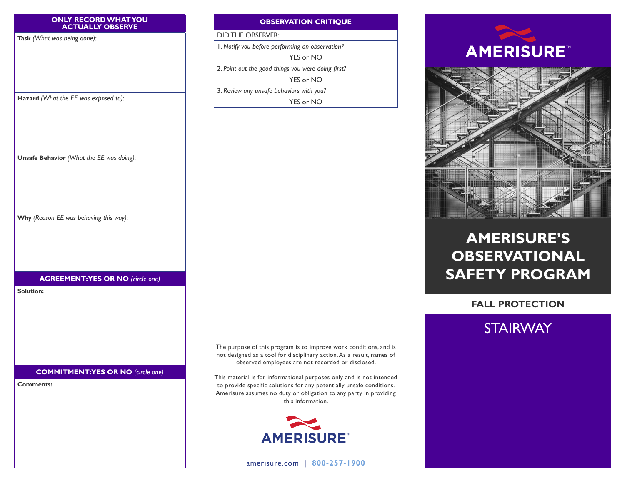#### **ONLY RECORD WHAT YOU ACTUALLY OBSERVE**

**Task** *(What was being done):*

**Hazard** *(What the EE was exposed to):*

**Unsafe Behavior** *(What the EE was doing):*

**Why** *(Reason EE was behaving this way):*

#### **OBSERVATION CRITIQUE**

DID THE OBSERVER:

1. *Notify you before performing an observation?*

YES or NO

2. *Point out the good things you were doing first?*

YES or NO

3. *Review any unsafe behaviors with you?* YES or NO





# **AMERISURE'S OBSERVATIONAL SAFETY PROGRAM**

**FALL PROTECTION**



**COMMITMENT: YES OR NO** *(circle one)*

**AGREEMENT: YES OR NO** *(circle one)*

**Comments:**

**Solution:**

The purpose of this program is to improve work conditions, and is not designed as a tool for disciplinary action. As a result, names of observed employees are not recorded or disclosed.

This material is for informational purposes only and is not intended to provide specific solutions for any potentially unsafe conditions. Amerisure assumes no duty or obligation to any party in providing this information.



[amerisure.com](http://www.amerisure.com) | **800-257-1900**